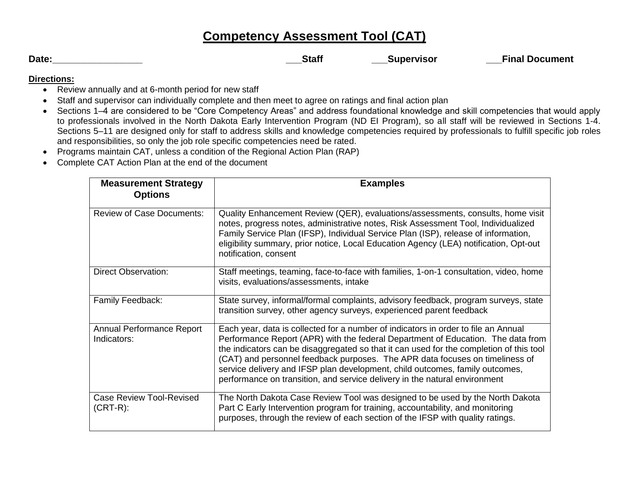## **Competency Assessment Tool (CAT)**

| × |  |
|---|--|

**Date:\_\_\_\_\_\_\_\_\_\_\_\_\_\_\_\_\_ \_\_\_Staff \_\_\_Supervisor \_\_\_Final Document**

### **Directions:**

- Review annually and at 6-month period for new staff
- Staff and supervisor can individually complete and then meet to agree on ratings and final action plan
- Sections 1–4 are considered to be "Core Competency Areas" and address foundational knowledge and skill competencies that would apply to professionals involved in the North Dakota Early Intervention Program (ND EI Program), so all staff will be reviewed in Sections 1-4. Sections 5–11 are designed only for staff to address skills and knowledge competencies required by professionals to fulfill specific job roles and responsibilities, so only the job role specific competencies need be rated.
- Programs maintain CAT, unless a condition of the Regional Action Plan (RAP)
- Complete CAT Action Plan at the end of the document

| <b>Measurement Strategy</b><br><b>Options</b>  | <b>Examples</b>                                                                                                                                                                                                                                                                                                                                                                                                                                                                                                 |
|------------------------------------------------|-----------------------------------------------------------------------------------------------------------------------------------------------------------------------------------------------------------------------------------------------------------------------------------------------------------------------------------------------------------------------------------------------------------------------------------------------------------------------------------------------------------------|
| <b>Review of Case Documents:</b>               | Quality Enhancement Review (QER), evaluations/assessments, consults, home visit<br>notes, progress notes, administrative notes, Risk Assessment Tool, Individualized<br>Family Service Plan (IFSP), Individual Service Plan (ISP), release of information,<br>eligibility summary, prior notice, Local Education Agency (LEA) notification, Opt-out<br>notification, consent                                                                                                                                    |
| <b>Direct Observation:</b>                     | Staff meetings, teaming, face-to-face with families, 1-on-1 consultation, video, home<br>visits, evaluations/assessments, intake                                                                                                                                                                                                                                                                                                                                                                                |
| Family Feedback:                               | State survey, informal/formal complaints, advisory feedback, program surveys, state<br>transition survey, other agency surveys, experienced parent feedback                                                                                                                                                                                                                                                                                                                                                     |
| Annual Performance Report<br>Indicators:       | Each year, data is collected for a number of indicators in order to file an Annual<br>Performance Report (APR) with the federal Department of Education. The data from<br>the indicators can be disaggregated so that it can used for the completion of this tool<br>(CAT) and personnel feedback purposes. The APR data focuses on timeliness of<br>service delivery and IFSP plan development, child outcomes, family outcomes,<br>performance on transition, and service delivery in the natural environment |
| <b>Case Review Tool-Revised</b><br>$(CRT-R)$ : | The North Dakota Case Review Tool was designed to be used by the North Dakota<br>Part C Early Intervention program for training, accountability, and monitoring<br>purposes, through the review of each section of the IFSP with quality ratings.                                                                                                                                                                                                                                                               |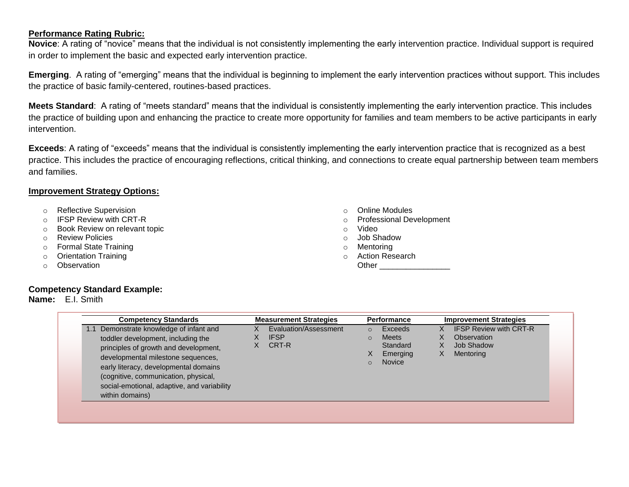#### **Performance Rating Rubric:**

**Novice**: A rating of "novice" means that the individual is not consistently implementing the early intervention practice. Individual support is required in order to implement the basic and expected early intervention practice.

**Emerging**. A rating of "emerging" means that the individual is beginning to implement the early intervention practices without support. This includes the practice of basic family-centered, routines-based practices.

**Meets Standard**: A rating of "meets standard" means that the individual is consistently implementing the early intervention practice. This includes the practice of building upon and enhancing the practice to create more opportunity for families and team members to be active participants in early intervention.

**Exceeds**: A rating of "exceeds" means that the individual is consistently implementing the early intervention practice that is recognized as a best practice. This includes the practice of encouraging reflections, critical thinking, and connections to create equal partnership between team members and families.

### **Improvement Strategy Options:**

- o Reflective Supervision
- o IFSP Review with CRT-R
- o Book Review on relevant topic
- o Review Policies
- o Formal State Training
- o Orientation Training
- o Observation

#### **Competency Standard Example:**

#### **Name:** E.I. Smith

- o Online Modules
- o Professional Development
- o Video
- o Job Shadow
- o Mentoring
- o Action Research

Other **and a** 

| <b>Competency Standards</b>                                                                                                                                                                                                                                                                                 | <b>Measurement Strategies</b>                 | <b>Performance</b>                                                                                 | <b>Improvement Strategies</b>                                                 |
|-------------------------------------------------------------------------------------------------------------------------------------------------------------------------------------------------------------------------------------------------------------------------------------------------------------|-----------------------------------------------|----------------------------------------------------------------------------------------------------|-------------------------------------------------------------------------------|
| Demonstrate knowledge of infant and<br>toddler development, including the<br>principles of growth and development,<br>developmental milestone sequences,<br>early literacy, developmental domains<br>(cognitive, communication, physical,<br>social-emotional, adaptive, and variability<br>within domains) | Evaluation/Assessment<br><b>IFSP</b><br>CRT-R | Exceeds<br>$\Omega$<br><b>Meets</b><br>$\Omega$<br>Standard<br>Emerging<br>X<br>Novice<br>$\Omega$ | <b>IFSP Review with CRT-R</b><br>Observation<br>Job Shadow<br>Mentoring<br>X. |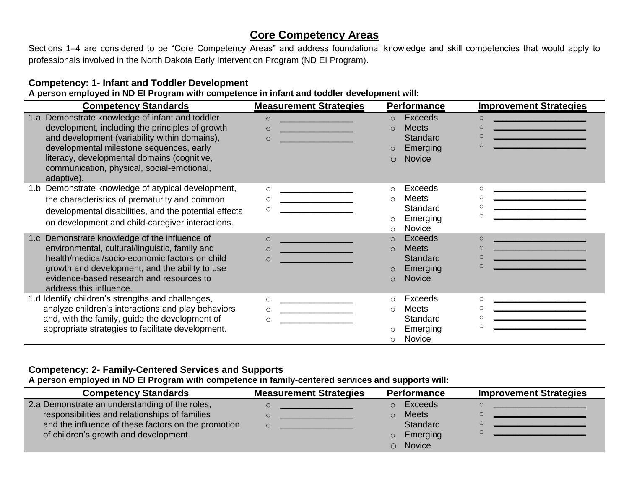### **Core Competency Areas**

Sections 1–4 are considered to be "Core Competency Areas" and address foundational knowledge and skill competencies that would apply to professionals involved in the North Dakota Early Intervention Program (ND EI Program).

### **Competency: 1- Infant and Toddler Development**

**A person employed in ND EI Program with competence in infant and toddler development will:**

| <b>Competency Standards</b>                                                                                                                                                                                                                                                                                                                                                                                                                                                                    | <b>Measurement Strategies</b>                                                                                                                                                                                                                                                               | <b>Performance</b>                                                                                                                                                                                               | <b>Improvement Strategies</b>                                                                                                                                                                                                                                                                                                                                                                                                                                                           |
|------------------------------------------------------------------------------------------------------------------------------------------------------------------------------------------------------------------------------------------------------------------------------------------------------------------------------------------------------------------------------------------------------------------------------------------------------------------------------------------------|---------------------------------------------------------------------------------------------------------------------------------------------------------------------------------------------------------------------------------------------------------------------------------------------|------------------------------------------------------------------------------------------------------------------------------------------------------------------------------------------------------------------|-----------------------------------------------------------------------------------------------------------------------------------------------------------------------------------------------------------------------------------------------------------------------------------------------------------------------------------------------------------------------------------------------------------------------------------------------------------------------------------------|
| 1.a Demonstrate knowledge of infant and toddler<br>development, including the principles of growth<br>and development (variability within domains),<br>developmental milestone sequences, early<br>literacy, developmental domains (cognitive,<br>communication, physical, social-emotional,<br>adaptive).                                                                                                                                                                                     | $\circ$<br>$\circ$<br><u> 1999 - Johann Barn, mars eta bainar eta i</u><br>$\circ$<br><u> 1970 - Johann Barnett, fransk konge</u>                                                                                                                                                           | Exceeds<br>$\Omega$<br><b>Meets</b><br>$\Omega$<br>Standard<br>Emerging<br>$\circ$<br>Novice<br>$\circ$                                                                                                          | $\Omega$<br><u> 1989 - Johann Barn, mars eta bat eta bat erroman erroman erroman erroman erroman erroman erroman erroman err</u><br>$\Omega$<br>the control of the control of the control of the control of the control of<br>$\Omega$<br><u> 1980 - Johann Barn, mars eta bainar eta bat eta bat erroman erroman erroman erroman ez erroman ez erroman ez</u><br><u> 1999 - Johann Barn, mars fyrsti start og fyrir og fyrir og fyrir og fyrir og fyrir og fyrir og fyrir og fyrir</u> |
| 1.b Demonstrate knowledge of atypical development,<br>the characteristics of prematurity and common<br>developmental disabilities, and the potential effects<br>on development and child-caregiver interactions.<br>1.c Demonstrate knowledge of the influence of<br>environmental, cultural/linguistic, family and<br>health/medical/socio-economic factors on child<br>growth and development, and the ability to use<br>evidence-based research and resources to<br>address this influence. | $\circ$<br><u> 1989 - Johann Harry Harry Harry Harry Harry Harry Harry Harry Harry Harry Harry Harry Harry Harry Harry Harry</u><br>$\circ$<br>$\circ$<br><u> 1990 - Johann Barnett, fransk konge</u><br>$\circ$<br>$\circ$<br><u> 1999 - Johann Barnett, fransk politiker (</u><br>$\circ$ | Exceeds<br>$\circ$<br><b>Meets</b><br>$\circ$<br>Standard<br>Emerging<br>$\circ$<br>Novice<br>$\circ$<br>Exceeds<br>$\circ$<br><b>Meets</b><br>$\Omega$<br>Standard<br>Emerging<br>$\circ$<br>Novice<br>$\Omega$ | $\circ$<br><u> 1980 - Johann Barn, mars an t-Amerikaansk kommunister (</u><br><u> 1989 - Johann John Stein, mars eta bizkailar (h. 1989).</u><br>$\Omega$<br><u> 1989 - Johann Barn, mars et al.</u><br><u> Andrew Maria (1989)</u>                                                                                                                                                                                                                                                     |
| 1.d Identify children's strengths and challenges,<br>analyze children's interactions and play behaviors<br>and, with the family, guide the development of<br>appropriate strategies to facilitate development.                                                                                                                                                                                                                                                                                 | $\circ$<br>$\circ$                                                                                                                                                                                                                                                                          | Exceeds<br>$\circ$<br>Meets<br>$\circ$<br>Standard<br>Emerging<br>O<br>Novice<br>$\circ$                                                                                                                         | $\circ$<br>$\circ$<br>$\circ$<br>the contract of the contract of the contract of the contract of                                                                                                                                                                                                                                                                                                                                                                                        |

### **Competency: 2- Family-Centered Services and Supports**

**A person employed in ND EI Program with competence in family-centered services and supports will:**

| <b>Competency Standards</b>                         | <b>Measurement Strategies</b> | <b>Performance</b>  | <b>Improvement Strategies</b> |
|-----------------------------------------------------|-------------------------------|---------------------|-------------------------------|
| 2.a Demonstrate an understanding of the roles,      |                               | Exceeds<br>$\Omega$ |                               |
| responsibilities and relationships of families      |                               | <b>Meets</b>        |                               |
| and the influence of these factors on the promotion |                               | Standard            |                               |
| of children's growth and development.               |                               | Emerging<br>$\circ$ |                               |
|                                                     |                               | <b>Novice</b>       |                               |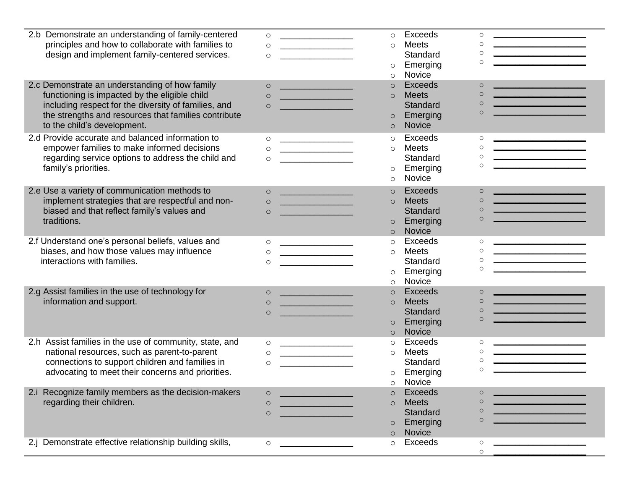| 2.b Demonstrate an understanding of family-centered<br>principles and how to collaborate with families to<br>design and implement family-centered services.<br>2.c Demonstrate an understanding of how family<br>functioning is impacted by the eligible child<br>including respect for the diversity of families, and<br>the strengths and resources that families contribute<br>to the child's development. | $\circ$<br><u> Alexandria de la contexta de la contexta de la contexta de la contexta de la contexta de la contexta de la c</u><br>$\circ$<br>$\circ$<br>$\circ$<br><u> Andrew Maria (1986)</u><br>$\Omega$<br><u> 2000 - John Harry Harry Harry Harry Harry Harry Harry Harry Harry Harry Harry Harry Harry Harry Harry Harry Harry Harry Harry Harry Harry Harry Harry Harry Harry Harry Harry Harry Harry Harry Harry Harry Harry Harry Harr</u><br>$\circ$<br><u> 1999 - Johann Barnett, fransk politiker (</u> | Exceeds<br>$\circ$<br><b>Meets</b><br>$\circ$<br>Standard<br>Emerging<br>$\circ$<br>Novice<br>$\circ$<br>Exceeds<br>$\circ$<br><b>Meets</b><br>$\circ$<br>Standard<br>Emerging<br>$\circ$<br>Novice<br>$\circ$ | $\circ$<br>$\circ$<br>$\circ$<br>$\circ$<br>the contract of the contract of the contract of<br>$\circ$<br>$\circ$<br><u> 1989 - Johann Stoff, Amerikaansk politiker (</u><br>$\circ$<br><u> 1999 - Johann Barnett, fransk politiker (</u><br>$\circ$                         |
|---------------------------------------------------------------------------------------------------------------------------------------------------------------------------------------------------------------------------------------------------------------------------------------------------------------------------------------------------------------------------------------------------------------|---------------------------------------------------------------------------------------------------------------------------------------------------------------------------------------------------------------------------------------------------------------------------------------------------------------------------------------------------------------------------------------------------------------------------------------------------------------------------------------------------------------------|----------------------------------------------------------------------------------------------------------------------------------------------------------------------------------------------------------------|------------------------------------------------------------------------------------------------------------------------------------------------------------------------------------------------------------------------------------------------------------------------------|
| 2.d Provide accurate and balanced information to<br>empower families to make informed decisions<br>regarding service options to address the child and<br>family's priorities.                                                                                                                                                                                                                                 | $\circ$<br>$\circ$<br>$\circ$                                                                                                                                                                                                                                                                                                                                                                                                                                                                                       | Exceeds<br>$\circ$<br><b>Meets</b><br>$\circ$<br>Standard<br>Emerging<br>$\circ$<br>Novice<br>$\circ$                                                                                                          | $\circ$<br><u> 1989 - Jan James James James James James James James James James James James James James James James James Ja</u><br>$\circ$<br>$\circ$<br>$\circ$                                                                                                            |
| 2.e Use a variety of communication methods to<br>implement strategies that are respectful and non-<br>biased and that reflect family's values and<br>traditions.                                                                                                                                                                                                                                              | <u> 1989 - Johann Barn, mars et al.</u><br>$\circ$<br>$\circ$<br>$\circ$                                                                                                                                                                                                                                                                                                                                                                                                                                            | Exceeds<br>$\circ$<br><b>Meets</b><br>$\circ$<br>Standard<br>Emerging<br>$\circ$<br>Novice<br>$\circ$                                                                                                          | <u> 1980 - Johann Barn, mars eta bainar eta </u><br>$\circ$<br>$\circ$<br><u> 1980 - Johann Barbara, martxa al</u><br>$\circ$<br><u> 1989 - Johann Barn, mars et al. (b. 1989)</u><br>$\circ$                                                                                |
| 2.f Understand one's personal beliefs, values and<br>biases, and how those values may influence<br>interactions with families.                                                                                                                                                                                                                                                                                | $\circ$<br>$\circ$<br>$\overline{\phantom{a}}$<br>$\circ$                                                                                                                                                                                                                                                                                                                                                                                                                                                           | Exceeds<br>$\circ$<br><b>Meets</b><br>$\circ$<br>Standard<br>Emerging<br>$\circ$<br>Novice<br>$\circ$                                                                                                          | $\circ$<br>$\circ$<br>$\circ$<br>$\circ$                                                                                                                                                                                                                                     |
| 2.g Assist families in the use of technology for<br>information and support.                                                                                                                                                                                                                                                                                                                                  | <u> 1989 - Johann Barn, mars eta bat e</u><br>$\circ$<br>$\circ$<br><u> 1990 - Johann Barn, mars eta bainar eta </u><br>$\circ$                                                                                                                                                                                                                                                                                                                                                                                     | Exceeds<br>$\circ$<br><b>Meets</b><br>$\circ$<br>Standard<br>Emerging<br>$\circ$<br>Novice<br>$\circ$                                                                                                          | $\circ$<br><u> 1980 - Johann Barn, mars eta bat eta bat e</u><br>$\circ$<br><u> 1980 - Johann Barnett, fransk politiker (</u><br>$\circ$<br><u> 1989 - Johann John Stone, meil er stadt fan de ferstjer fan de ferstjer fan de ferstjer fan de ferstjer fan d</u><br>$\circ$ |
| 2.h Assist families in the use of community, state, and<br>national resources, such as parent-to-parent<br>connections to support children and families in<br>advocating to meet their concerns and priorities.                                                                                                                                                                                               | $\circ$<br>$\circ$<br><u> 2002 - An Dùbhlachd ann an Dùbhan Alban ann an Dùbhan Alban ann an Dùbhan Alban ann an Dùbhan Alban ann an Dùbhan Alban ann an Dùbhan Alban ann an Dùbhan Alban ann an Dùbhan Alban ann an Dùbhan Alban ann an Dùbhan Alban </u><br>$\circ$                                                                                                                                                                                                                                               | Exceeds<br>$\circ$<br><b>Meets</b><br>$\circ$<br>Standard<br>Emerging<br>Novice<br>$\circ$                                                                                                                     | $\circ$<br>$\circ$<br>$\circ$<br>$\circ$                                                                                                                                                                                                                                     |
| 2.i Recognize family members as the decision-makers<br>regarding their children.                                                                                                                                                                                                                                                                                                                              | $\circ$<br>$\circ$<br>$\circ$                                                                                                                                                                                                                                                                                                                                                                                                                                                                                       | <b>Exceeds</b><br>$\circ$<br><b>Meets</b><br>$\Omega$<br>Standard<br>Emerging<br>$\circ$<br>Novice<br>$\circ$                                                                                                  | $\circ$<br>$\circ$<br>O<br>O                                                                                                                                                                                                                                                 |
| 2.j Demonstrate effective relationship building skills,                                                                                                                                                                                                                                                                                                                                                       | $\circ$                                                                                                                                                                                                                                                                                                                                                                                                                                                                                                             | Exceeds<br>$\circ$                                                                                                                                                                                             | $\circ$<br>O                                                                                                                                                                                                                                                                 |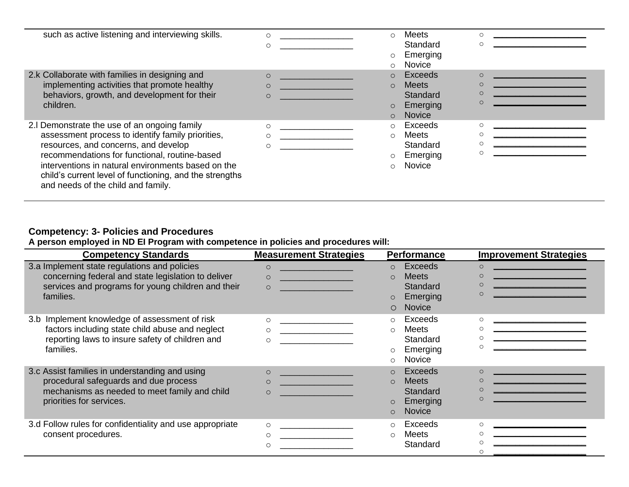| such as active listening and interviewing skills.                                                                                                                                                                                                                                                                                                | $\circ$                                                                                                                                                                                                                                                                                                            | $\bigcirc$<br>$\circ$<br>$\circ$ | <b>Meets</b><br>Standard<br>Emerging<br>Novice            |  |
|--------------------------------------------------------------------------------------------------------------------------------------------------------------------------------------------------------------------------------------------------------------------------------------------------------------------------------------------------|--------------------------------------------------------------------------------------------------------------------------------------------------------------------------------------------------------------------------------------------------------------------------------------------------------------------|----------------------------------|-----------------------------------------------------------|--|
| 2.k Collaborate with families in designing and<br>implementing activities that promote healthy<br>behaviors, growth, and development for their<br>children.                                                                                                                                                                                      | $\circ$<br><u> 1980 - John Stone, mars et al. (</u><br><u> Antonio de la contenentación de la contenentación de la contenentación de la contenentación de la contenentación de la contenentación de la contenentación de la contenentación de la contenentación de la contenentación de</u><br>$\circ$<br>$\Omega$ | $\circ$<br>$\circ$<br>$\circ$    | Exceeds<br><b>Meets</b><br>Standard<br>Emerging<br>Novice |  |
| 2. Demonstrate the use of an ongoing family<br>assessment process to identify family priorities,<br>resources, and concerns, and develop<br>recommendations for functional, routine-based<br>interventions in natural environments based on the<br>child's current level of functioning, and the strengths<br>and needs of the child and family. | $\circ$<br>$\bigcirc$<br>$\circ$                                                                                                                                                                                                                                                                                   | $\circ$<br>$\bigcirc$<br>$\circ$ | Exceeds<br>Meets<br>Standard<br>Emerging<br>Novice        |  |

### **Competency: 3- Policies and Procedures**

**A person employed in ND EI Program with competence in policies and procedures will:**

| <b>Competency Standards</b>                                                                                                                                            | <b>Measurement Strategies</b>                                                                                                                                                                                                                             | <b>Performance</b>                                                                                                   | <b>Improvement Strategies</b>                                                                                                                                                                                   |
|------------------------------------------------------------------------------------------------------------------------------------------------------------------------|-----------------------------------------------------------------------------------------------------------------------------------------------------------------------------------------------------------------------------------------------------------|----------------------------------------------------------------------------------------------------------------------|-----------------------------------------------------------------------------------------------------------------------------------------------------------------------------------------------------------------|
| 3.a Implement state regulations and policies<br>concerning federal and state legislation to deliver<br>services and programs for young children and their<br>families. | $\circ$<br><u> 1999 - Johann Barnett, fransk politiker (</u><br><u> 1999 - Johann Barnett, fransk konge</u><br>$\circ$<br>$\Omega$<br><u> 1999 - Johann Barnett, fransk politiker (</u>                                                                   | <b>Exceeds</b><br>$\circ$<br><b>Meets</b><br>$\Omega$<br>Standard<br>Emerging<br>$\circ$<br><b>Novice</b><br>$\circ$ | $\circ$<br>$\Omega$<br>$\circ$<br><u> 1989 - Johann Barbara, martxa alemani</u> ar a<br>$\Omega$<br><u> 1990 - Johann Barnett, fransk politiker (</u>                                                           |
| 3.b Implement knowledge of assessment of risk<br>factors including state child abuse and neglect<br>reporting laws to insure safety of children and<br>families.       | $\circ$<br>$\circ$<br>$\circ$                                                                                                                                                                                                                             | Exceeds<br>$\circ$<br><b>Meets</b><br>$\circ$<br>Standard<br>Emerging<br>$\circ$<br><b>Novice</b><br>$\circ$         | $\Omega$<br>$\Omega$<br>∩                                                                                                                                                                                       |
| 3.c Assist families in understanding and using<br>procedural safeguards and due process<br>mechanisms as needed to meet family and child<br>priorities for services.   | $\circ$<br><u> 1999 - Johann Barn, mars fyrsti start og fyrir og fyrir og fyrir og fyrir og fyrir og fyrir og fyrir og fyrir</u><br><u> 1990 - Johann Barn, mars ann an t-</u><br>$\circ$<br>$\circ$<br><u> 1999 - Johann Barnett, fransk politiker (</u> | <b>Exceeds</b><br>$\Omega$<br><b>Meets</b><br>$\Omega$<br>Standard<br>Emerging<br><b>Novice</b><br>$\Omega$          | $\circ$<br><u> 1989 - Andrea Stadt Britain, marwolaeth a bh</u><br><u> 1980 - Johann Barn, mars eta bat eta bat erroman erroman erroman erroman erroman erroman erroman erroman err</u><br>$\circ$<br>$\bigcap$ |
| 3.d Follow rules for confidentiality and use appropriate<br>consent procedures.                                                                                        | $\circ$<br>$\circ$                                                                                                                                                                                                                                        | Exceeds<br>$\circ$<br><b>Meets</b><br>$\circ$<br>Standard                                                            | $\Omega$<br>$\Omega$<br>∩<br>the control of the control of the control of                                                                                                                                       |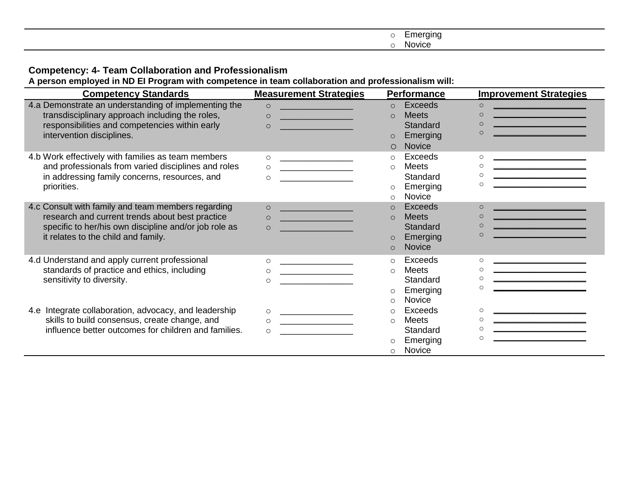| $\frac{1}{2} \left( \frac{1}{2} \right) \left( \frac{1}{2} \right) \left( \frac{1}{2} \right) \left( \frac{1}{2} \right) \left( \frac{1}{2} \right) \left( \frac{1}{2} \right) \left( \frac{1}{2} \right) \left( \frac{1}{2} \right) \left( \frac{1}{2} \right) \left( \frac{1}{2} \right) \left( \frac{1}{2} \right) \left( \frac{1}{2} \right) \left( \frac{1}{2} \right) \left( \frac{1}{2} \right) \left( \frac{1}{2} \right) \left( \frac{1}{2} \right) \left( \frac$<br>nergin <sub>c</sub> |
|---------------------------------------------------------------------------------------------------------------------------------------------------------------------------------------------------------------------------------------------------------------------------------------------------------------------------------------------------------------------------------------------------------------------------------------------------------------------------------------------------|
| . .<br><b>NOVICE</b>                                                                                                                                                                                                                                                                                                                                                                                                                                                                              |

### **Competency: 4- Team Collaboration and Professionalism**

**A person employed in ND EI Program with competence in team collaboration and professionalism will:**

| <b>Competency Standards</b>                                                                                                                                                                           | <b>Measurement Strategies</b>                                                                                                                                                                                                                                                                                                                                                                                                                                                                                                                                                                                                    | <b>Performance</b>                                                                                             | <b>Improvement Strategies</b>                                                                                                                                                                                                                                                                                |
|-------------------------------------------------------------------------------------------------------------------------------------------------------------------------------------------------------|----------------------------------------------------------------------------------------------------------------------------------------------------------------------------------------------------------------------------------------------------------------------------------------------------------------------------------------------------------------------------------------------------------------------------------------------------------------------------------------------------------------------------------------------------------------------------------------------------------------------------------|----------------------------------------------------------------------------------------------------------------|--------------------------------------------------------------------------------------------------------------------------------------------------------------------------------------------------------------------------------------------------------------------------------------------------------------|
| 4.a Demonstrate an understanding of implementing the<br>transdisciplinary approach including the roles,<br>responsibilities and competencies within early<br>intervention disciplines.                | <u> 1999 - Johann Barnett, fransk politiker (</u><br>$\circ$<br>$\circ$<br><u> 1990 - Jan Albert Barbara, manala</u><br>$\circ$<br><u>a sa salah sahiji désa di kacamatan Sababara</u>                                                                                                                                                                                                                                                                                                                                                                                                                                           | Exceeds<br>$\circ$<br><b>Meets</b><br>$\Omega$<br>Standard<br>Emerging<br>$\circ$<br><b>Novice</b><br>$\circ$  | $\circ$<br><u> 1980 - Johann Barn, mars eta biztanleria (</u><br>$\circ$<br><u> 1980 - Johann John Stone, martin de Amerikaansk kommunister (</u><br><u> 1989 - Johann Barnett, fransk politiker (</u><br>$\Omega$<br>$\Omega$<br>the control of the control of the control of the control of the control of |
| 4.b Work effectively with families as team members<br>and professionals from varied disciplines and roles<br>in addressing family concerns, resources, and<br>priorities.                             | $\circ$<br><u> 1990 - Johann Harry Harry Harry Harry Harry Harry Harry Harry Harry Harry Harry Harry Harry Harry Harry Harry Harry Harry Harry Harry Harry Harry Harry Harry Harry Harry Harry Harry Harry Harry Harry Harry Harry Harry Ha</u><br>$\begin{picture}(180,10) \put(0,0){\vector(1,0){100}} \put(15,0){\vector(1,0){100}} \put(15,0){\vector(1,0){100}} \put(15,0){\vector(1,0){100}} \put(15,0){\vector(1,0){100}} \put(15,0){\vector(1,0){100}} \put(15,0){\vector(1,0){100}} \put(15,0){\vector(1,0){100}} \put(15,0){\vector(1,0){100}} \put(15,0){\vector(1,0){100}} \put(15,0){\vector(1,0){100}}$<br>$\circ$ | Exceeds<br>$\circ$<br>Meets<br>$\circ$<br>Standard<br>Emerging<br>$\circ$<br>Novice<br>$\circ$                 | $\circ$<br>$\circ$<br>$\circ$<br>$\Omega$<br>the contract of the contract of the contract of                                                                                                                                                                                                                 |
| 4.c Consult with family and team members regarding<br>research and current trends about best practice<br>specific to her/his own discipline and/or job role as<br>it relates to the child and family. | <u> Andrew Maria (1989)</u><br>$\circ$<br>$\circ$<br><u> 1999 - Johann Harry Harry Harry Harry Harry Harry Harry Harry Harry Harry Harry Harry Harry Harry Harry Harry</u><br>$\circ$                                                                                                                                                                                                                                                                                                                                                                                                                                            | Exceeds<br>$\Omega$<br><b>Meets</b><br>$\Omega$<br>Standard<br>Emerging<br>$\circ$<br><b>Novice</b><br>$\circ$ | <u> 1989 - Johann Barn, mars eta bat eta bat eta bat eta bat eta bat eta bat eta bat eta bat eta bat eta bat eta</u><br>$\Omega$<br>$\Omega$<br>the control of the control of the control of<br>$\circ$<br><u> 1989 - Johann Barnett, fransk politik (</u><br>$\Omega$                                       |
| 4.d Understand and apply current professional<br>standards of practice and ethics, including<br>sensitivity to diversity.                                                                             | $\circ$<br><u> 1990 - John Harry Harry Harry Harry Harry Harry Harry Harry Harry Harry Harry Harry Harry Harry Harry Harry Harry Harry Harry Harry Harry Harry Harry Harry Harry Harry Harry Harry Harry Harry Harry Harry Harry Harry Harr</u><br>$\circ$<br>$\circ$                                                                                                                                                                                                                                                                                                                                                            | Exceeds<br>$\circ$<br><b>Meets</b><br>$\circ$<br>Standard<br>Emerging<br>$\circ$<br>Novice<br>$\circ$          | $\Omega$<br><u> 1989 - Johann Barbara, martin da kasar Amerika Indonesia.</u><br><u> 1980 - Johann Barbara, martin a</u><br>$\circ$<br>$\circ$<br>$\circ$                                                                                                                                                    |
| 4.e Integrate collaboration, advocacy, and leadership<br>skills to build consensus, create change, and<br>influence better outcomes for children and families.                                        | $\circ$<br><u> 1990 - Johann Harry Harry Harry Harry Harry Harry Harry Harry Harry Harry Harry Harry Harry Harry Harry Harry</u><br>$\circ$<br>$\circ$                                                                                                                                                                                                                                                                                                                                                                                                                                                                           | Exceeds<br>$\circ$<br><b>Meets</b><br>$\circ$<br>Standard<br>Emerging<br>$\circ$<br>Novice<br>$\circ$          | $\circ$<br>$\Omega$<br><u> 1989 - Jan Barat, manazarta (h. 1989).</u><br>$\Omega$<br>$\Omega$                                                                                                                                                                                                                |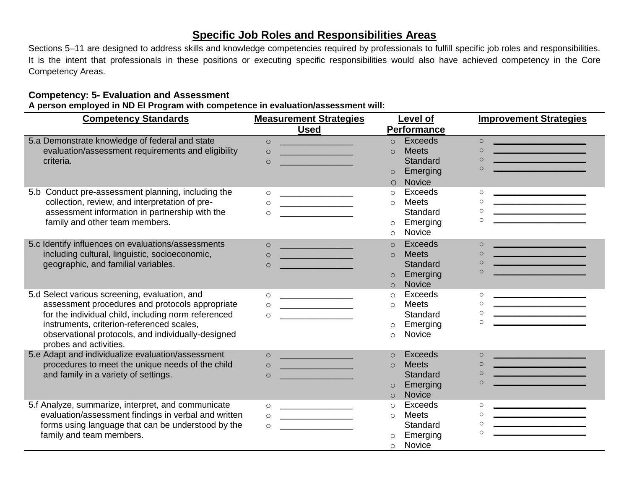### **Specific Job Roles and Responsibilities Areas**

Sections 5–11 are designed to address skills and knowledge competencies required by professionals to fulfill specific job roles and responsibilities. It is the intent that professionals in these positions or executing specific responsibilities would also have achieved competency in the Core Competency Areas.

### **Competency: 5- Evaluation and Assessment**

**A person employed in ND EI Program with competence in evaluation/assessment will:** 

| <b>Competency Standards</b>                          | <b>Measurement Strategies</b>                                                                                                    | Level of                   | <b>Improvement Strategies</b>                                                                                                     |
|------------------------------------------------------|----------------------------------------------------------------------------------------------------------------------------------|----------------------------|-----------------------------------------------------------------------------------------------------------------------------------|
|                                                      | <b>Used</b>                                                                                                                      | <b>Performance</b>         |                                                                                                                                   |
| 5.a Demonstrate knowledge of federal and state       | <u> 1980 - Johann Barn, mars eta bat e</u><br>$\circ$                                                                            | <b>Exceeds</b><br>$\circ$  | $\circ$<br><u> 1980 - Johann John Stone, martin de Britannich (b. 1980)</u>                                                       |
| evaluation/assessment requirements and eligibility   | $\Omega$<br><u> 1970 - Johann Barnett, fransk politik (d. 1980)</u>                                                              | <b>Meets</b><br>$\Omega$   | $\circ$<br><u> 1989 - Johann Barn, mars eta bat erroman erroman ez erroman erroman ez erroman ez erroman ez erroman ez erroma</u> |
| criteria.                                            | $\circ$                                                                                                                          | Standard                   | $\circ$<br><u> 1989 - Johann Barn, mars eta bainar eta industrial eta erromana eta erromana eta erromana eta erromana eta e</u>   |
|                                                      |                                                                                                                                  | Emerging<br>$\circ$        | $\Omega$<br>the control of the control of the control of the                                                                      |
|                                                      |                                                                                                                                  | <b>Novice</b><br>$\circ$   |                                                                                                                                   |
| 5.b Conduct pre-assessment planning, including the   | $\circ$                                                                                                                          | Exceeds<br>$\circ$         | $\circ$                                                                                                                           |
| collection, review, and interpretation of pre-       | $\circ$                                                                                                                          | <b>Meets</b><br>$\circ$    | $\circ$                                                                                                                           |
| assessment information in partnership with the       | $\circ$                                                                                                                          | Standard                   | $\circ$                                                                                                                           |
| family and other team members.                       |                                                                                                                                  | Emerging<br>$\circ$        | $\circ$                                                                                                                           |
|                                                      |                                                                                                                                  | Novice<br>$\circ$          |                                                                                                                                   |
| 5.c Identify influences on evaluations/assessments   | $\circ$<br><u> 1990 - Johann Barn, mars eta bainar eta </u>                                                                      | <b>Exceeds</b><br>$\Omega$ | $\circ$<br><u> 1980 - Johann Barn, mars eta bat eta bat e</u>                                                                     |
| including cultural, linguistic, socioeconomic,       | <u> 1989 - Johann Barn, mars eta industrial eta industrial eta industrial eta industrial eta industrial eta indus</u><br>$\circ$ | <b>Meets</b><br>$\Omega$   | $\circ$                                                                                                                           |
| geographic, and familial variables.                  | $\circ$                                                                                                                          | Standard                   | $\circ$                                                                                                                           |
|                                                      |                                                                                                                                  | Emerging<br>$\circ$        | $\circ$<br><u> 1990 - Johann Barbara, martxa alemaniar a</u>                                                                      |
|                                                      |                                                                                                                                  | Novice<br>$\circ$          |                                                                                                                                   |
| 5.d Select various screening, evaluation, and        | $\circ$<br><u> 1989 - Johann Barbara, martin a</u>                                                                               | Exceeds<br>$\circ$         | $\circ$                                                                                                                           |
| assessment procedures and protocols appropriate      | $\circ$                                                                                                                          | <b>Meets</b><br>$\circ$    | $\circ$                                                                                                                           |
| for the individual child, including norm referenced  | $\circ$                                                                                                                          | Standard                   | $\circ$<br><u> 1989 - Johann Barbara, martin a</u>                                                                                |
| instruments, criterion-referenced scales,            |                                                                                                                                  | Emerging<br>$\circ$        | $\circ$<br>the control of the control of the control of                                                                           |
| observational protocols, and individually-designed   |                                                                                                                                  | Novice<br>$\Omega$         |                                                                                                                                   |
| probes and activities.                               |                                                                                                                                  |                            |                                                                                                                                   |
| 5.e Adapt and individualize evaluation/assessment    | <u> Andrew Maria (1989)</u>                                                                                                      | Exceeds<br>$\Omega$        | the control of the control of the control of<br>$\circ$                                                                           |
| procedures to meet the unique needs of the child     | <u> 1999 - Johann Barnett, fransk politiker (</u><br>$\Omega$                                                                    | <b>Meets</b><br>$\circ$    | <u> 1980 - Johann Barnett, fransk konge</u><br>$\circ$                                                                            |
| and family in a variety of settings.                 | $\circ$                                                                                                                          | Standard                   | <u> 1980 - Johann Barnett, fransk kongresu</u><br>$\circ$<br>$\Omega$                                                             |
|                                                      |                                                                                                                                  | Emerging<br>$\circ$        |                                                                                                                                   |
|                                                      |                                                                                                                                  | <b>Novice</b><br>$\Omega$  |                                                                                                                                   |
| 5.f Analyze, summarize, interpret, and communicate   | $\circ$<br><u> 2002 - John Stone, Amerikan besteht der Stone (</u>                                                               | <b>Exceeds</b><br>$\circ$  | $\circ$<br><u> 1980 - Jan James James Barnett, fransk politik (d. 1980)</u>                                                       |
| evaluation/assessment findings in verbal and written | $\circ$<br><u> 2002 - Jan Samuel Barbara, prima popular popular popular popular popular popular popular popular popular pop</u>  | <b>Meets</b><br>$\circ$    | $\circ$                                                                                                                           |
| forms using language that can be understood by the   | $\circ$                                                                                                                          | Standard                   | $\circ$<br>$\circ$                                                                                                                |
| family and team members.                             |                                                                                                                                  | Emerging                   |                                                                                                                                   |
|                                                      |                                                                                                                                  | Novice<br>$\circ$          |                                                                                                                                   |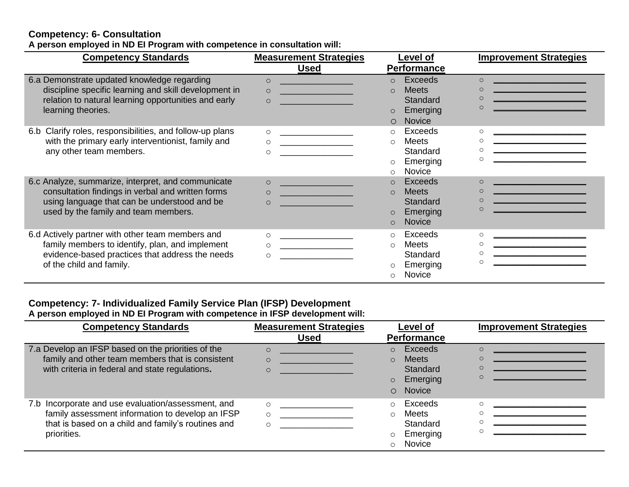### **Competency: 6- Consultation A person employed in ND EI Program with competence in consultation will:**

| <b>Competency Standards</b>                                                                                                                                                                     | <b>Measurement Strategies</b>                                                                                       | Level of                                                                                                         | <b>Improvement Strategies</b>                                                                                                                                                                                                                                                                                              |
|-------------------------------------------------------------------------------------------------------------------------------------------------------------------------------------------------|---------------------------------------------------------------------------------------------------------------------|------------------------------------------------------------------------------------------------------------------|----------------------------------------------------------------------------------------------------------------------------------------------------------------------------------------------------------------------------------------------------------------------------------------------------------------------------|
|                                                                                                                                                                                                 | <b>Used</b>                                                                                                         | <b>Performance</b>                                                                                               |                                                                                                                                                                                                                                                                                                                            |
| 6.a Demonstrate updated knowledge regarding<br>discipline specific learning and skill development in<br>relation to natural learning opportunities and early<br>learning theories.              | $\circ$<br>$\circ$<br><u> 1990 - Johann Barnett, fransk politik (</u><br>$\circ$<br><u> Andrew Maria (1986)</u>     | Exceeds<br>$\circ$<br><b>Meets</b><br>$\Omega$<br>Standard<br>Emerging<br>$\circ$<br><b>Novice</b><br>$\bigcirc$ | $\Omega$<br>the control of the control of the control of the control of the control of<br>$\circ$<br>the control of the control of the control of the control of the control of<br>$\Omega$<br><u> 1980 - Johann Barn, mars eta biztanleria (</u><br>$\Omega$<br><u> 1990 - Johann Barn, mars eta bainar eta idazlea (</u> |
| 6.b Clarify roles, responsibilities, and follow-up plans<br>with the primary early interventionist, family and<br>any other team members.                                                       | $\circ$<br><u> 1980 - Jan Barbara Barbara, m</u><br>$\circ$<br><u> 1999 - Johann Barn, mars et al. (</u><br>$\circ$ | Exceeds<br>$\circ$<br>Meets<br>$\Omega$<br>Standard<br>Emerging<br>$\circ$<br><b>Novice</b><br>$\bigcap$         | $\circ$<br>$\circ$<br>$\Omega$<br>$\circ$                                                                                                                                                                                                                                                                                  |
| 6.c Analyze, summarize, interpret, and communicate<br>consultation findings in verbal and written forms<br>using language that can be understood and be<br>used by the family and team members. | $\circ$<br>$\Omega$<br>$\circ$                                                                                      | Exceeds<br>$\Omega$<br><b>Meets</b><br>$\circ$<br>Standard<br>Emerging<br>$\circ$<br><b>Novice</b><br>$\Omega$   | <u> 1989 - Johann Barnett, fransk politiker (</u><br>$\Omega$<br><u> 1980 - Johann Barbara, martxa alemani</u> ar a<br>$\Omega$<br>$\Omega$                                                                                                                                                                                |
| 6.d Actively partner with other team members and<br>family members to identify, plan, and implement<br>evidence-based practices that address the needs<br>of the child and family.              | $\circ$<br>$\circ$                                                                                                  | Exceeds<br>$\circ$<br>Meets<br>$\circ$<br>Standard<br>Emerging<br>Novice<br>$\Omega$                             | $\circ$<br><u> 2000 - Jan Berlin, mars ann an t-Amhraich an t-Amhraich ann an t-Amhraich ann an t-Amhraich ann an t-Amhraich</u><br>$\circ$<br>$\circ$<br><u> 1980 - Johann Barn, mars eta bat eta bat eta bat eta bat eta bat eta bat eta bat eta bat eta bat eta bat eta</u><br>$\circ$                                  |

### **Competency: 7- Individualized Family Service Plan (IFSP) Development**

**A person employed in ND EI Program with competence in IFSP development will:** 

| <b>Competency Standards</b>                                                                                                                                                 | <b>Measurement Strategies</b> | <b>Level of</b>                                                                                         | <b>Improvement Strategies</b> |
|-----------------------------------------------------------------------------------------------------------------------------------------------------------------------------|-------------------------------|---------------------------------------------------------------------------------------------------------|-------------------------------|
|                                                                                                                                                                             | <b>Used</b>                   | <b>Performance</b>                                                                                      |                               |
| 7.a Develop an IFSP based on the priorities of the<br>family and other team members that is consistent<br>with criteria in federal and state regulations.                   | $\Omega$                      | Exceeds<br>$\circ$<br><b>Meets</b><br>$\Omega$<br>Standard<br>Emerging<br>$\circ$<br>Novice<br>$\Omega$ | $\subset$<br>$\mathsf{C}$     |
| 7.b Incorporate and use evaluation/assessment, and<br>family assessment information to develop an IFSP<br>that is based on a child and family's routines and<br>priorities. |                               | Exceeds<br>$\bigcirc$<br>Meets<br>$\bigcap$<br>Standard<br>Emerging<br>$\circ$<br>Novice<br>$\circ$     |                               |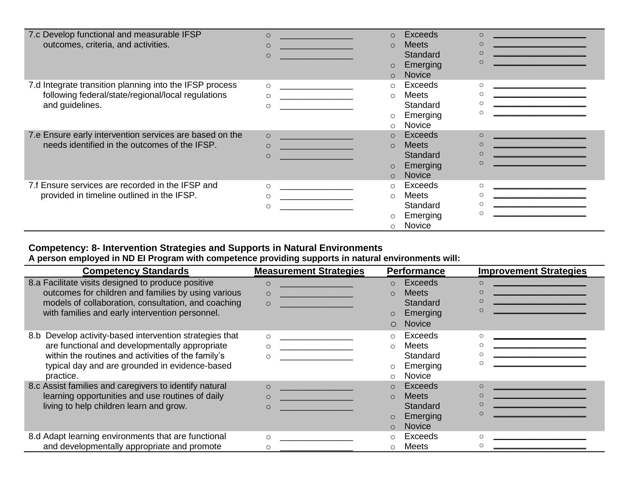| 7.c Develop functional and measurable IFSP              | $\circ$                                                                                                                          | Exceeds<br>$\circ$       | $\circ$                                                                                                               |
|---------------------------------------------------------|----------------------------------------------------------------------------------------------------------------------------------|--------------------------|-----------------------------------------------------------------------------------------------------------------------|
| outcomes, criteria, and activities.                     | $\circ$<br><u> 1989 - Johann Barnett, fransk politiker (</u>                                                                     | <b>Meets</b><br>$\Omega$ | <u> 1990 - Johann Barnett, fransk politiker (</u><br>$\Omega$                                                         |
|                                                         | $\circ$<br><u> 1989 - Johann Barbara, martxa a shekara 1989 - An tsara</u>                                                       | Standard                 |                                                                                                                       |
|                                                         |                                                                                                                                  | Emerging<br>$\circ$      |                                                                                                                       |
|                                                         |                                                                                                                                  | Novice<br>$\Omega$       |                                                                                                                       |
| 7.d Integrate transition planning into the IFSP process | $\circ$                                                                                                                          | Exceeds<br>$\circ$       | $\circ$                                                                                                               |
| following federal/state/regional/local regulations      | $\circ$                                                                                                                          | Meets<br>$\circ$         | the contract of the contract of the contract of the contract of the contract of<br>$\circ$                            |
| and guidelines.                                         | $\circ$                                                                                                                          | Standard                 |                                                                                                                       |
|                                                         |                                                                                                                                  | Emerging<br>$\circ$      |                                                                                                                       |
|                                                         |                                                                                                                                  | Novice<br>$\circ$        |                                                                                                                       |
| 7.e Ensure early intervention services are based on the | $\circ$<br>and the state of the state of the state                                                                               | Exceeds<br>$\circ$       | $\Omega$                                                                                                              |
| needs identified in the outcomes of the IFSP.           | $\circ$                                                                                                                          | <b>Meets</b><br>$\Omega$ | $\circ$                                                                                                               |
|                                                         | $\Omega$<br><u>a sa kacamatan ing Kabupatèn Ing Kabupatèn Ing Kabupatèn Ing Kabupatèn Ing Kabupatèn Ing Kabupatèn Ing Kabupa</u> | Standard                 | $\Omega$                                                                                                              |
|                                                         |                                                                                                                                  | Emerging<br>$\circ$      |                                                                                                                       |
|                                                         |                                                                                                                                  | <b>Novice</b><br>$\circ$ |                                                                                                                       |
| 7.f Ensure services are recorded in the IFSP and        | $\circ$<br><u> 1989 - Johann Harry Barn, mars ar breist fan de Fryske kommunent fan de Fryske kommunent fan de Fryske kommun</u> | Exceeds<br>$\circ$       | $\circ$                                                                                                               |
| provided in timeline outlined in the IFSP.              | $\circ$                                                                                                                          | Meets<br>$\circ$         | <u> 1989 - John Harry Barn, mars and de Barn, mars and de Barn, mars and de Barn, mars and de Barn, mars and de B</u> |
|                                                         | $\circ$                                                                                                                          | Standard                 |                                                                                                                       |
|                                                         |                                                                                                                                  | Emerging<br>$\circ$      |                                                                                                                       |
|                                                         |                                                                                                                                  | Novice<br>$\Omega$       |                                                                                                                       |

### **Competency: 8- Intervention Strategies and Supports in Natural Environments A person employed in ND EI Program with competence providing supports in natural environments will:**

| <b>Competency Standards</b>                                                                                                                                                                                                       | <b>Measurement Strategies</b>                                                                                                                                                                           | <b>Performance</b>                                                                                            | <b>Improvement Strategies</b>                                                                                                               |
|-----------------------------------------------------------------------------------------------------------------------------------------------------------------------------------------------------------------------------------|---------------------------------------------------------------------------------------------------------------------------------------------------------------------------------------------------------|---------------------------------------------------------------------------------------------------------------|---------------------------------------------------------------------------------------------------------------------------------------------|
| 8.a Facilitate visits designed to produce positive<br>outcomes for children and families by using various<br>models of collaboration, consultation, and coaching<br>with families and early intervention personnel.               | $\circ$<br><u> 1990 - Jan Barnett, fransk politik (</u><br>$\circ$<br>$\circ$<br><u> Anglický politik (* 1878)</u>                                                                                      | Exceeds<br>$\Omega$<br><b>Meets</b><br>$\Omega$<br><b>Standard</b><br>Emerging<br><b>Novice</b><br>$\bigcirc$ | $\Omega$<br>C<br>C<br>C<br><u> 1980 - Johann Barbara, martxa alemaniar a</u>                                                                |
| Develop activity-based intervention strategies that<br>8.b<br>are functional and developmentally appropriate<br>within the routines and activities of the family's<br>typical day and are grounded in evidence-based<br>practice. | $\circ$<br><u> 1980 - Andrea Andrew Maria (h. 1980).</u><br><u> 1999 - Johann Harry Harry Harry Harry Harry Harry Harry Harry Harry Harry Harry Harry Harry Harry Harry Harry</u><br>$\circ$<br>$\circ$ | Exceeds<br>$\circ$<br><b>Meets</b><br>$\circ$<br>Standard<br>Emerging<br><b>Novice</b><br>$\circ$             | $\circ$                                                                                                                                     |
| 8.c Assist families and caregivers to identify natural<br>learning opportunities and use routines of daily<br>living to help children learn and grow.                                                                             | $\circ$<br><u> 1999 - Johann Barnett, fransk politiker (</u><br><u> 1999 - Johann Barnett, fransk konge</u><br>$\circ$<br><u> 1999 - Johann Barbara, martxa a</u><br>$\circ$                            | Exceeds<br>$\Omega$<br><b>Meets</b><br>$\Omega$<br>Standard<br>Emerging<br><b>Novice</b><br>$\Omega$          | <u> 1990 - Johann Barn, mars ann an t-Amhain ann an t-</u><br><u> 1989 - Johann Barbara, martxa alemani</u> ar arte<br>$\circ$<br>$\subset$ |
| 8.d Adapt learning environments that are functional<br>and developmentally appropriate and promote                                                                                                                                | $\circ$                                                                                                                                                                                                 | Exceeds<br>$\circ$<br>Meets<br>$\Omega$                                                                       | O                                                                                                                                           |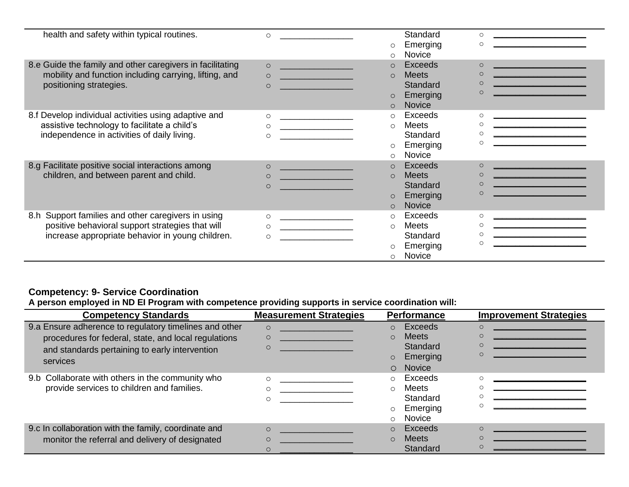| health and safety within typical routines.                | $\circ$                                                      | <b>Standard</b>           | $\circ$                                                                                                              |
|-----------------------------------------------------------|--------------------------------------------------------------|---------------------------|----------------------------------------------------------------------------------------------------------------------|
|                                                           |                                                              | Emerging<br>$\circ$       | $\Omega$<br>the control of the control of the control of the control of the control of                               |
|                                                           |                                                              | Novice<br>$\circ$         |                                                                                                                      |
| 8.e Guide the family and other caregivers in facilitating | $\circ$                                                      | Exceeds<br>$\Omega$       |                                                                                                                      |
| mobility and function including carrying, lifting, and    | <u> 1990 - Jan Barbara Barat, manala</u><br>$\circ$          | <b>Meets</b><br>$\Omega$  | <u> 1990 - Jan Barnett, fransk politik (</u>                                                                         |
| positioning strategies.                                   | $\circ$                                                      | <b>Standard</b>           | <u> 1990 - Jan Barnett, politik e</u> ta industrial                                                                  |
|                                                           |                                                              | Emerging<br>$\circ$       |                                                                                                                      |
|                                                           |                                                              | <b>Novice</b><br>$\Omega$ |                                                                                                                      |
| 8.f Develop individual activities using adaptive and      | $\circ$                                                      | Exceeds<br>$\circ$        | $\Omega$                                                                                                             |
| assistive technology to facilitate a child's              | $\circ$                                                      | Meets<br>$\bigcirc$       |                                                                                                                      |
| independence in activities of daily living.               | $\circ$                                                      | Standard                  |                                                                                                                      |
|                                                           |                                                              | Emerging<br>$\circ$       |                                                                                                                      |
|                                                           |                                                              | Novice<br>$\circ$         |                                                                                                                      |
| 8.g Facilitate positive social interactions among         | $\circ$<br><u> 1989 - Johann Barnett, fransk politiker (</u> | Exceeds<br>$\Omega$       |                                                                                                                      |
| children, and between parent and child.                   | $\Omega$                                                     | <b>Meets</b><br>$\Omega$  | <u> 1989 - Johann Barn, mars eta bat eta bat eta bat eta bat eta bat eta bat eta bat eta bat eta bat eta bat eta</u> |
|                                                           | $\bigcirc$                                                   | Standard                  | <u> 1980 - Johann Barn, mars eta bat erroman erroman erroman erroman erroman erroman erroman erroman erroman err</u> |
|                                                           |                                                              | Emerging<br>$\circ$       |                                                                                                                      |
|                                                           |                                                              | <b>Novice</b><br>$\Omega$ |                                                                                                                      |
| 8.h Support families and other caregivers in using        | $\circ$                                                      | Exceeds<br>$\circ$        |                                                                                                                      |
| positive behavioral support strategies that will          | $\circ$<br><u> 1989 - Johann Barbara, martin a</u>           | Meets<br>$\circ$          | <u> 1980 - Johann Barbara, martxa alemaniar a</u>                                                                    |
| increase appropriate behavior in young children.          | $\circ$                                                      | Standard                  |                                                                                                                      |
|                                                           |                                                              | Emerging<br>$\circ$       |                                                                                                                      |
|                                                           |                                                              | Novice<br>$\bigcirc$      |                                                                                                                      |

### **Competency: 9- Service Coordination**

**A person employed in ND EI Program with competence providing supports in service coordination will:**

| <b>Competency Standards</b>                            | <b>Measurement Strategies</b>                         | <b>Performance</b>          | <b>Improvement Strategies</b>                                                                  |
|--------------------------------------------------------|-------------------------------------------------------|-----------------------------|------------------------------------------------------------------------------------------------|
| 9.a Ensure adherence to regulatory timelines and other | $\circ$                                               | Exceeds<br>$\Omega$         | $\Omega$                                                                                       |
| procedures for federal, state, and local regulations   | $\circ$<br><u> 1989 - Johann Barn, mars ann an t-</u> | <b>Meets</b><br>$\Omega$    | $\circ$                                                                                        |
| and standards pertaining to early intervention         | $\circ$                                               | Standard                    |                                                                                                |
| services                                               |                                                       | Emerging<br>$\Omega$        |                                                                                                |
|                                                        |                                                       | <b>Novice</b><br>$\bigcirc$ |                                                                                                |
| 9.b Collaborate with others in the community who       |                                                       | Exceeds<br>$\Omega$         | O<br>the control of the control of the control of the control of the control of the control of |
| provide services to children and families.             |                                                       | Meets<br>$\Omega$           | Ω                                                                                              |
|                                                        |                                                       | Standard                    |                                                                                                |
|                                                        |                                                       | Emerging<br>$\Omega$        |                                                                                                |
|                                                        |                                                       | <b>Novice</b>               |                                                                                                |
| 9.c In collaboration with the family, coordinate and   | $\circ$                                               | Exceeds                     | $\Omega$                                                                                       |
| monitor the referral and delivery of designated        | $\circ$                                               | <b>Meets</b><br>$\Omega$    | $\circ$                                                                                        |
|                                                        |                                                       | Standard                    | $\circ$                                                                                        |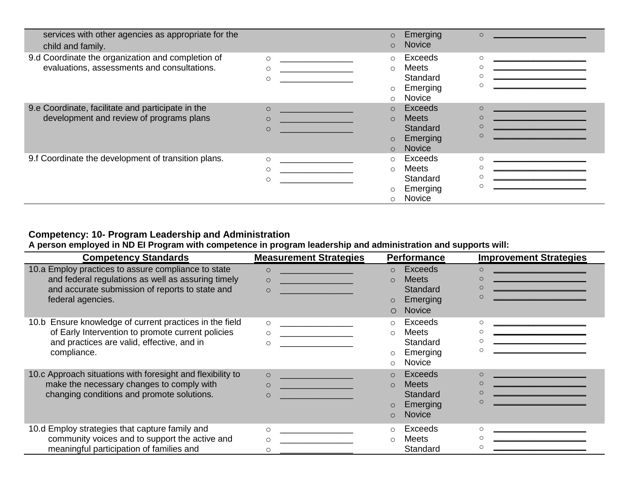| services with other agencies as appropriate for the<br>child and family. |                                                    | $\circ$<br>$\circ$ | Emerging<br><b>Novice</b> | $\circ$                                                       |
|--------------------------------------------------------------------------|----------------------------------------------------|--------------------|---------------------------|---------------------------------------------------------------|
| 9.d Coordinate the organization and completion of                        | $\circ$                                            | $\circ$            | Exceeds                   | $\circ$                                                       |
| evaluations, assessments and consultations.                              | $\circ$                                            | $\circ$            | Meets                     |                                                               |
|                                                                          | $\circ$                                            |                    | Standard                  |                                                               |
|                                                                          |                                                    | $\circ$            | Emerging                  |                                                               |
|                                                                          |                                                    | $\circ$            | Novice                    |                                                               |
| 9.e Coordinate, facilitate and participate in the                        | $\circ$                                            | $\circ$            | Exceeds                   | $\circ$                                                       |
| development and review of programs plans                                 | <u> 1989 - Johann Barbara, martxa a</u><br>$\circ$ | $\circ$            | <b>Meets</b>              | <u> 1990 - Johann Barbara, martxa amerikan per</u><br>$\circ$ |
|                                                                          | $\circ$                                            |                    | Standard                  | $\circ$                                                       |
|                                                                          |                                                    | $\circ$            | Emerging                  |                                                               |
|                                                                          |                                                    | $\Omega$           | <b>Novice</b>             |                                                               |
| 9.f Coordinate the development of transition plans.                      | $\circ$                                            | $\circ$            | Exceeds                   |                                                               |
|                                                                          | $\circ$                                            | $\circ$            | Meets                     |                                                               |
|                                                                          | O                                                  |                    | Standard                  |                                                               |
|                                                                          |                                                    | $\circ$            | Emerging                  |                                                               |
|                                                                          |                                                    | $\circ$            | Novice                    |                                                               |

### **Competency: 10- Program Leadership and Administration**

**A person employed in ND EI Program with competence in program leadership and administration and supports will:**

| <b>Competency Standards</b>                                                                                                                                                       | <b>Measurement Strategies</b>                                                                                                                                                                                                                                                                                                                           | <b>Performance</b>                                                                                  | <b>Improvement Strategies</b>                                                                                                                     |
|-----------------------------------------------------------------------------------------------------------------------------------------------------------------------------------|---------------------------------------------------------------------------------------------------------------------------------------------------------------------------------------------------------------------------------------------------------------------------------------------------------------------------------------------------------|-----------------------------------------------------------------------------------------------------|---------------------------------------------------------------------------------------------------------------------------------------------------|
| 10.a Employ practices to assure compliance to state<br>and federal regulations as well as assuring timely<br>and accurate submission of reports to state and<br>federal agencies. | $\circ$<br><u> 1989 - Johann Harry Harry Harry Harry Harry Harry Harry Harry Harry Harry Harry Harry Harry Harry Harry Harry Harry Harry Harry Harry Harry Harry Harry Harry Harry Harry Harry Harry Harry Harry Harry Harry Harry Harry Ha</u><br><u> 1999 - John Barn Barns</u><br>$\circ$<br>$\circ$<br><u> 1990 - Jan Barnett, fransk politik (</u> | Exceeds<br>$\circ$<br><b>Meets</b><br>$\Omega$<br>Standard<br>Emerging<br><b>Novice</b><br>$\Omega$ | $\circ$<br>$\circ$<br>$\circ$                                                                                                                     |
| 10.b Ensure knowledge of current practices in the field<br>of Early Intervention to promote current policies<br>and practices are valid, effective, and in<br>compliance.         | $\circ$<br>$\circ$<br>$\circ$                                                                                                                                                                                                                                                                                                                           | Exceeds<br><b>Meets</b><br>$\circ$<br>Standard<br>Emerging<br><b>Novice</b>                         | ∩<br>the contract of the contract of the contract of the contract of<br>∩<br>∩<br>the contract of the contract of the contract of the contract of |
| 10.c Approach situations with foresight and flexibility to<br>make the necessary changes to comply with<br>changing conditions and promote solutions.                             | $\Omega$<br>$\circ$<br><u> 1999 - Johann Barn, mars et al.</u><br>$\circ$                                                                                                                                                                                                                                                                               | Exceeds<br><b>Meets</b><br>$\Omega$<br>Standard<br>Emerging<br><b>Novice</b><br>$\Omega$            | <u> 1980 - John Stone, mars et al.</u><br>$\Omega$<br>∩                                                                                           |
| 10.d Employ strategies that capture family and<br>community voices and to support the active and<br>meaningful participation of families and                                      | $\Omega$<br>$\circ$<br>$\circ$                                                                                                                                                                                                                                                                                                                          | Exceeds<br><b>Meets</b><br>$\bigcirc$<br>Standard                                                   | $\cap$<br>$\Omega$<br>$\circ$                                                                                                                     |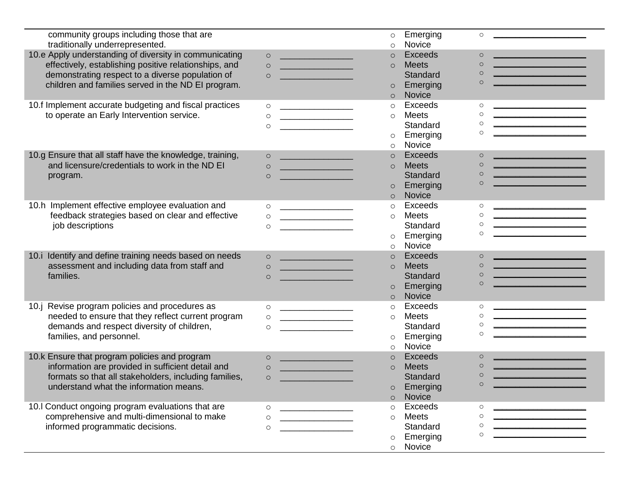| community groups including those that are                |                                                                  | $\circ$  | Emerging<br>$\circ$        |                                                                                                                                                                                                                                      |
|----------------------------------------------------------|------------------------------------------------------------------|----------|----------------------------|--------------------------------------------------------------------------------------------------------------------------------------------------------------------------------------------------------------------------------------|
| traditionally underrepresented.                          |                                                                  | $\circ$  | Novice                     |                                                                                                                                                                                                                                      |
| 10.e Apply understanding of diversity in communicating   | $\circ$                                                          | $\circ$  | <b>Exceeds</b><br>$\circ$  | <u> 1980 - Johann Barn, martin Amerikaansk kanton (</u>                                                                                                                                                                              |
| effectively, establishing positive relationships, and    | $\circ$<br><u> Tantan Barat, Indonesia.</u>                      | $\circ$  | <b>Meets</b><br>$\circ$    | <u> 1989 - Johann Barn, mars et al. (b. 1989)</u>                                                                                                                                                                                    |
| demonstrating respect to a diverse population of         | $\circ$                                                          |          | $\circ$<br>Standard        |                                                                                                                                                                                                                                      |
| children and families served in the ND EI program.       |                                                                  | $\circ$  | $\circ$<br>Emerging        |                                                                                                                                                                                                                                      |
|                                                          |                                                                  | $\circ$  | Novice                     |                                                                                                                                                                                                                                      |
| 10.f Implement accurate budgeting and fiscal practices   | $\circ$<br><u> 1989 - Johann Barn, fransk politik fotograf (</u> | $\circ$  | Exceeds<br>$\circ$         |                                                                                                                                                                                                                                      |
| to operate an Early Intervention service.                | $\circ$<br><u> 1989 - Johann Barn, fransk politik fotograf (</u> | $\circ$  | Meets<br>$\circ$           |                                                                                                                                                                                                                                      |
|                                                          | $\circ$                                                          |          | $\circ$<br>Standard        | <u> 1989 - Johann Barnett, fransk konge og det forske</u>                                                                                                                                                                            |
|                                                          |                                                                  | $\circ$  | $\circ$<br>Emerging        |                                                                                                                                                                                                                                      |
|                                                          |                                                                  | $\circ$  | Novice                     |                                                                                                                                                                                                                                      |
| 10.g Ensure that all staff have the knowledge, training, | $\circ$                                                          | $\circ$  | <b>Exceeds</b><br>$\circ$  |                                                                                                                                                                                                                                      |
| and licensure/credentials to work in the ND EI           | $\circ$<br><u> 1989 - Johann Barn, mars et al. (b. 1918)</u>     | $\circ$  | <b>Meets</b><br>$\circ$    | <u> 1999 - Jan James Barnett, politik e</u> ta p                                                                                                                                                                                     |
| program.                                                 | $\circ$                                                          |          | $\circ$<br><b>Standard</b> | <u> 1989 - Johann Barn, mars et al. (b. 1989)</u>                                                                                                                                                                                    |
|                                                          |                                                                  | $\circ$  | $\circ$<br>Emerging        |                                                                                                                                                                                                                                      |
|                                                          |                                                                  | $\circ$  | <b>Novice</b>              |                                                                                                                                                                                                                                      |
| 10.h Implement effective employee evaluation and         | $\circ$                                                          | $\circ$  | Exceeds<br>$\circ$         |                                                                                                                                                                                                                                      |
| feedback strategies based on clear and effective         | $\circ$<br><u> 1989 - Johann Barn, fransk politik fotograf (</u> | $\circ$  | <b>Meets</b><br>$\circ$    |                                                                                                                                                                                                                                      |
| job descriptions                                         | $\circ$                                                          |          | $\circ$<br>Standard        | <u> 1989 - Johann John Harry Hermann (b. 1989)</u>                                                                                                                                                                                   |
|                                                          |                                                                  | $\circ$  | $\circ$<br>Emerging        |                                                                                                                                                                                                                                      |
|                                                          |                                                                  | $\circ$  | Novice                     |                                                                                                                                                                                                                                      |
| 10.i Identify and define training needs based on needs   | $\circ$                                                          | $\circ$  | <b>Exceeds</b><br>$\circ$  | <u> 1989 - Johann Barn, fransk politik (</u>                                                                                                                                                                                         |
| assessment and including data from staff and             | $\circ$                                                          | $\circ$  | <b>Meets</b><br>$\circ$    | <u> The Communication of the Communication of the Communication of the Communication of the Communication of the Communication of the Communication of the Communication of the Communication of the Communication of the Commun</u> |
| families.                                                | <u> 1989 - Johann Barn, mars et al. (b. 1989)</u><br>$\circ$     |          | $\circ$<br>Standard        | <u> 1989 - Johann Barnett, fransk politiker (</u>                                                                                                                                                                                    |
|                                                          |                                                                  | $\circ$  | $\circ$<br>Emerging        |                                                                                                                                                                                                                                      |
|                                                          |                                                                  | $\circ$  | <b>Novice</b>              |                                                                                                                                                                                                                                      |
| Revise program policies and procedures as<br>10.j        | $\circ$                                                          | $\circ$  | Exceeds<br>$\circ$         |                                                                                                                                                                                                                                      |
| needed to ensure that they reflect current program       | <u> 1980 - John Stone, Amerikaansk politiker (</u><br>$\circ$    | $\circ$  | <b>Meets</b><br>$\circ$    | <u> 1980 - Johann Barbara, martxa alemaniar a</u>                                                                                                                                                                                    |
| demands and respect diversity of children,               | $\circ$                                                          |          | $\circ$<br>Standard        |                                                                                                                                                                                                                                      |
| families, and personnel.                                 |                                                                  |          | $\circ$<br>Emerging        |                                                                                                                                                                                                                                      |
|                                                          |                                                                  | $\circ$  | Novice                     |                                                                                                                                                                                                                                      |
|                                                          |                                                                  | $\circ$  | <b>Exceeds</b>             |                                                                                                                                                                                                                                      |
| 10.k Ensure that program policies and program            | $\circ$<br><u> 1989 - Johann Barn, mars et al. (b. 1989)</u>     | $\circ$  | $\circ$<br>$\circ$         |                                                                                                                                                                                                                                      |
| information are provided in sufficient detail and        | $\circ$                                                          | $\circ$  | <b>Meets</b><br>$\circ$    | <u> 1989 - Johann Barnett, fransk politiker (</u>                                                                                                                                                                                    |
| formats so that all stakeholders, including families,    | $\circ$                                                          |          | Standard                   |                                                                                                                                                                                                                                      |
| understand what the information means.                   |                                                                  | $\circ$  | Emerging                   |                                                                                                                                                                                                                                      |
|                                                          |                                                                  | $\Omega$ | <b>Novice</b>              |                                                                                                                                                                                                                                      |
| 10.I Conduct ongoing program evaluations that are        | $\circ$<br><u> 1989 - Johann Barbara, martin amerikan p</u>      | $\circ$  | Exceeds<br>$\circ$         |                                                                                                                                                                                                                                      |
| comprehensive and multi-dimensional to make              | $\circ$                                                          | $\circ$  | <b>Meets</b><br>$\circ$    |                                                                                                                                                                                                                                      |
| informed programmatic decisions.                         | $\circ$                                                          |          | Standard<br>$\circ$        |                                                                                                                                                                                                                                      |
|                                                          |                                                                  | $\circ$  | O<br>Emerging              |                                                                                                                                                                                                                                      |
|                                                          |                                                                  | $\circ$  | Novice                     |                                                                                                                                                                                                                                      |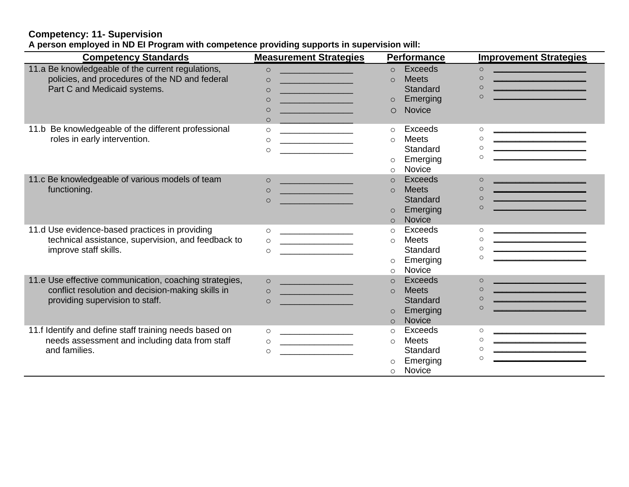#### **Competency: 11- Supervision A person employed in ND EI Program with competence providing supports in supervision will:**

| <b>Competency Standards</b>                            | <b>Measurement Strategies</b>                                | <b>Performance</b>         | <b>Improvement Strategies</b>                                                                                                                                                                                                                    |
|--------------------------------------------------------|--------------------------------------------------------------|----------------------------|--------------------------------------------------------------------------------------------------------------------------------------------------------------------------------------------------------------------------------------------------|
| 11.a Be knowledgeable of the current regulations,      | $\circ$<br><u> 1999 - Johann Barn, mars eta inperiodo</u>    | <b>Exceeds</b><br>$\Omega$ | $\circ$<br><u> 1980 - Johann Barn, marwolaethau a bhann an t-</u>                                                                                                                                                                                |
| policies, and procedures of the ND and federal         | $\circ$                                                      | <b>Meets</b><br>$\Omega$   | <u> 1989 - Johann Barn, mars eta industrial eta industrial eta industrial eta industrial eta industrial eta indus</u><br>$\circ$                                                                                                                 |
| Part C and Medicaid systems.                           | $\Omega$                                                     | Standard                   | $\Omega$<br><u>and the company of the company of the company of the company of the company of the company of the company of the company of the company of the company of the company of the company of the company of the company of the com</u> |
|                                                        | $\circ$                                                      | Emerging<br>$\circ$        | $\Omega$                                                                                                                                                                                                                                         |
|                                                        | $\circ$                                                      | <b>Novice</b><br>$\circ$   |                                                                                                                                                                                                                                                  |
|                                                        | $\Omega$                                                     |                            |                                                                                                                                                                                                                                                  |
| 11.b Be knowledgeable of the different professional    | $\circ$                                                      | Exceeds<br>$\circ$         | $\circ$                                                                                                                                                                                                                                          |
| roles in early intervention.                           | $\circ$                                                      | <b>Meets</b><br>$\circ$    | $\circ$<br><u> 1989 - Johann John Harry Harry Harry Harry Harry Harry Harry Harry Harry Harry Harry Harry Harry Harry Harry Harry Harry Harry Harry Harry Harry Harry Harry Harry Harry Harry Harry Harry Harry Harry Harry Harry Harry Har</u>  |
|                                                        | $\Omega$                                                     | Standard                   | $\circ$                                                                                                                                                                                                                                          |
|                                                        |                                                              | Emerging<br>$\circ$        | $\Omega$                                                                                                                                                                                                                                         |
|                                                        |                                                              | Novice<br>$\circ$          |                                                                                                                                                                                                                                                  |
| 11.c Be knowledgeable of various models of team        | $\circ$<br><u> 1990 - Johann Barnett, fransk politik (</u>   | Exceeds<br>$\circ$         | <u> 1989 - Johann Barn, mars eta industrial eta industrial eta industrial eta industrial eta industrial eta indus</u><br>$\Omega$                                                                                                                |
| functioning.                                           | <u> 1999 - Johann Barnett, fransk politiker (</u><br>$\circ$ | <b>Meets</b><br>$\Omega$   | $\Omega$<br><u> 1980 - Johann Barn, mars eta biztanleria (</u>                                                                                                                                                                                   |
|                                                        | $\circ$                                                      | Standard                   | $\circ$<br><u> 1970 - Johann Barnett, fransk politik (</u>                                                                                                                                                                                       |
|                                                        |                                                              | Emerging<br>$\circ$        | $\Omega$                                                                                                                                                                                                                                         |
|                                                        |                                                              | <b>Novice</b><br>$\Omega$  |                                                                                                                                                                                                                                                  |
| 11.d Use evidence-based practices in providing         | $\circ$                                                      | Exceeds<br>$\Omega$        | $\circ$                                                                                                                                                                                                                                          |
| technical assistance, supervision, and feedback to     | $\circ$                                                      | <b>Meets</b><br>$\circ$    | $\circ$                                                                                                                                                                                                                                          |
| improve staff skills.                                  | $\circ$                                                      | Standard                   | $\circ$                                                                                                                                                                                                                                          |
|                                                        |                                                              | Emerging<br>$\circ$        | $\circ$                                                                                                                                                                                                                                          |
|                                                        |                                                              | Novice<br>$\circ$          |                                                                                                                                                                                                                                                  |
| 11.e Use effective communication, coaching strategies, | $\circ$                                                      | Exceeds                    | <u> 1989 - Johann Barbara, martxa amerikan per</u><br>$\Omega$                                                                                                                                                                                   |
| conflict resolution and decision-making skills in      | $\Omega$                                                     | <b>Meets</b><br>$\Omega$   | $\Omega$<br><u> 1989 - Johann Barbara, martin din bashkar (</u>                                                                                                                                                                                  |
| providing supervision to staff.                        | $\circ$                                                      | Standard                   | $\Omega$<br><u> 1990 - Johann Barn, mars ann an t-Amhair an t-Amhair an t-Amhair an t-Amhair an t-Amhair an t-Amhair an t-A</u>                                                                                                                  |
|                                                        |                                                              | Emerging<br>$\circ$        | $\Omega$                                                                                                                                                                                                                                         |
|                                                        |                                                              | Novice<br>$\circ$          |                                                                                                                                                                                                                                                  |
| 11.f Identify and define staff training needs based on | $\circ$                                                      | Exceeds<br>$\circ$         | $\circ$                                                                                                                                                                                                                                          |
| needs assessment and including data from staff         | $\circ$                                                      | <b>Meets</b><br>$\circ$    | $\circ$                                                                                                                                                                                                                                          |
| and families.                                          | $\circ$                                                      | Standard                   | $\circ$                                                                                                                                                                                                                                          |
|                                                        |                                                              | Emerging<br>$\circ$        | $\Omega$                                                                                                                                                                                                                                         |
|                                                        |                                                              | Novice<br>$\circ$          |                                                                                                                                                                                                                                                  |